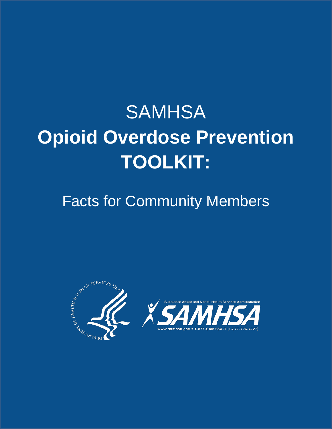# **SAMHSA Opioid Overdose Prevention TOOLKIT:**

# Facts for Community Members



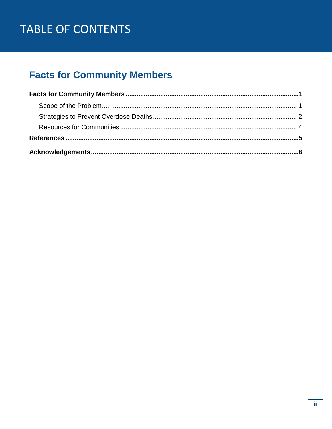# TABLE OF CONTENTS

# **Facts for Community Members**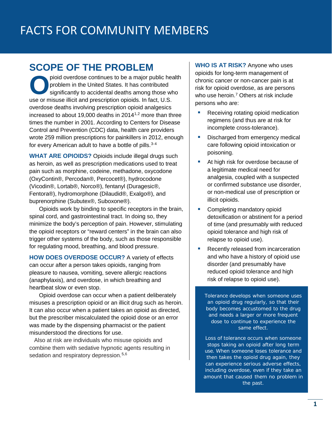### <span id="page-3-1"></span><span id="page-3-0"></span>**SCOPE OF THE PROBLEM**

 use or misuse illicit and prescription opioids. In fact, U.S. for every American adult to have a bottle of pills. 3-4 pioid overdose continues to be a major public health<br>problem in the United States. It has contributed<br>significantly to accidental deaths among those who<br>use or misuse illicit and prescription opioids. In fact, U.S. problem in the United States. It has contributed significantly to accidental deaths among those who overdose deaths involving prescription opioid analgesics increased to about 19,000 deaths in 20141,2 more than three times the number in 2001. According to Centers for Disease Control and Prevention (CDC) data, health care providers wrote 259 million prescriptions for painkillers in 2012, enough

**WHAT ARE OPIOIDS?** Opioids include illegal drugs such as heroin, as well as prescription medications used to treat pain such as morphine, codeine, methadone, oxycodone (OxyContin®, Percodan®, Percocet®), hydrocodone (Vicodin®, Lortab®, Norco®), fentanyl (Duragesic®, Fentora®), hydromorphone (Dilaudid®, Exalgo®), and buprenorphine (Subutex®, Suboxone®).

Opioids work by binding to specific receptors in the brain, spinal cord, and gastrointestinal tract. In doing so, they minimize the body's perception of pain. However, stimulating the opioid receptors or "reward centers" in the brain can also trigger other systems of the body, such as those responsible for regulating mood, breathing, and blood pressure.

**HOW DOES OVERDOSE OCCUR?** A variety of effects can occur after a person takes opioids, ranging from pleasure to nausea, vomiting, severe allergic reactions (anaphylaxis), and overdose, in which breathing and heartbeat slow or even stop.

Opioid overdose can occur when a patient deliberately misuses a prescription opioid or an illicit drug such as heroin. It can also occur when a patient takes an opioid as directed, but the prescriber miscalculated the opioid dose or an error was made by the dispensing pharmacist or the patient misunderstood the directions for use.

Also at risk are individuals who misuse opioids and combine them with sedative hypnotic agents resulting in sedation and respiratory depression. 5,6

 **WHO IS AT RISK?** Anyone who uses opioids for long-term management of chronic cancer or non-cancer pain is at risk for opioid overdose, as are persons who use heroin. 7 Others at risk include persons who are:

- regimens (and thus are at risk for Receiving rotating opioid medication incomplete cross-tolerance).
- Discharged from emergency medical care following opioid intoxication or poisoning.
- At high risk for overdose because of a legitimate medical need for analgesia, coupled with a suspected or confirmed substance use disorder, or non-medical use of prescription or illicit opioids.
- Completing mandatory opioid detoxification or abstinent for a period of time (and presumably with reduced opioid tolerance and high risk of relapse to opioid use).
- Recently released from incarceration and who have a history of opioid use disorder (and presumably have reduced opioid tolerance and high risk of relapse to opioid use).

*Tolerance* develops when someone uses an opioid drug regularly, so that their body becomes accustomed to the drug and needs a larger or more frequent dose to continue to experience the same effect.

*Loss of tolerance* occurs when someone stops taking an opioid after long term use. When someone loses tolerance and then takes the opioid drug again, they can experience serious adverse effects, including overdose, even if they take an amount that caused them no problem in the past.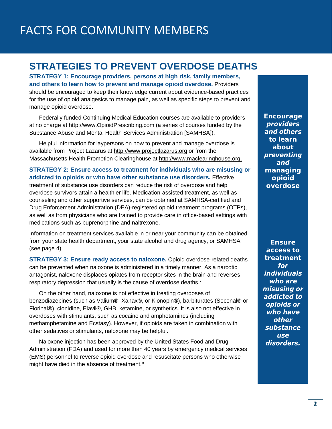### <span id="page-4-0"></span>**STRATEGIES TO PREVENT OVERDOSE DEATHS**

**STRATEGY 1: Encourage providers, persons at high risk, family members, and others to learn how to prevent and manage opioid overdose.** Providers should be encouraged to keep their knowledge current about evidence-based practices for the use of opioid analgesics to manage pain, as well as specific steps to prevent and manage opioid overdose.

at no charge at [http://www.OpioidPrescribing.com](http://www.opioidprescribing.com/) (a series of courses funded by the Federally funded Continuing Medical Education courses are available to providers Substance Abuse and Mental Health Services Administration [SAMHSA]).

Helpful information for laypersons on how to prevent and manage overdose is available from Project Lazarus at [http://www.projectlazarus.org](http://www.projectlazarus.org/) or from the Massachusetts Health Promotion Clearinghouse at [http://www.maclearinghouse.org.](http://www.maclearinghouse.org/) 

**STRATEGY 2: Ensure access to treatment for individuals who are misusing or addicted to opioids or who have other substance use disorders.** Effective treatment of substance use disorders can reduce the risk of overdose and help overdose survivors attain a healthier life. Medication-assisted treatment, as well as counseling and other supportive services, can be obtained at SAMHSA-certified and Drug Enforcement Administration (DEA)-registered opioid treatment programs (OTPs), as well as from physicians who are trained to provide care in office-based settings with medications such as buprenorphine and naltrexone.

Information on treatment services available in or near your community can be obtained from your state health department, your state alcohol and drug agency, or SAMHSA (see page 4).

**STRATEGY 3: Ensure ready access to naloxone.** Opioid overdose-related deaths can be prevented when naloxone is administered in a timely manner. As a narcotic antagonist, naloxone displaces opiates from receptor sites in the brain and reverses respiratory depression that usually is the cause of overdose deaths.<sup>7</sup>

On the other hand, naloxone is not effective in treating overdoses of benzodiazepines (such as Valium®, Xanax®, or Klonopin®), barbiturates (Seconal® or Fiorinal®), clonidine, Elavil®, GHB, ketamine, or synthetics. It is also not effective in overdoses with stimulants, such as cocaine and amphetamines (including methamphetamine and Ecstasy). However, if opioids are taken in combination with other sedatives or stimulants, naloxone may be helpful.

 Administration (FDA) and used for more than 40 years by emergency medical services Naloxone injection has been approved by the United States Food and Drug (EMS) personnel to reverse opioid overdose and resuscitate persons who otherwise might have died in the absence of treatment. 8

*Encourage*  **providers** and others  *to learn about*  preventing and *managing opioid overdose* 

*Ensure access to treatment*  for *individuals* who are misusing or addicted to opioids or who have **other** substance **USe** disorders.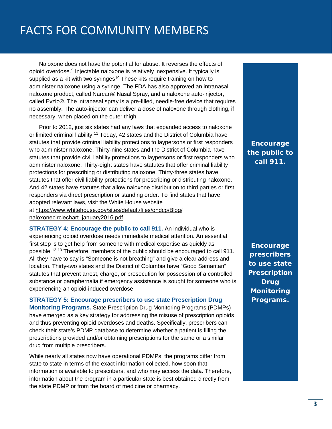naloxone product, called Narcan® Nasal Spray, and a naloxone auto-injector, necessary, when placed on the outer thigh. Naloxone does not have the potential for abuse. It reverses the effects of opioid overdose. 9 Injectable naloxone is relatively inexpensive. It typically is supplied as a kit with two syringes<sup>10</sup> These kits require training on how to administer naloxone using a syringe. The FDA has also approved an intranasal called Evzio®. The intranasal spray is a pre-filled, needle-free device that requires no assembly. The auto-injector can deliver a dose of naloxone through clothing, if

 who administer naloxone. Thirty-nine states and the District of Columbia have Prior to 2012, just six states had any laws that expanded access to naloxone or limited criminal liability.<sup>11</sup> Today, 42 states and the District of Columbia have statutes that provide criminal liability protections to laypersons or first responders statutes that provide civil liability protections to laypersons or first responders who administer naloxone. Thirty-eight states have statutes that offer criminal liability protections for prescribing or distributing naloxone. Thirty-three states have statutes that offer civil liability protections for prescribing or distributing naloxone. And 42 states have statutes that allow naloxone distribution to third parties or first responders via direct prescription or standing order. To find states that have adopted relevant laws, visit the White House website at [https://www.whitehouse.gov/sites/default/files/ondcp/Blog/](https://www.whitehouse.gov/sites/default/files/ondcp/Blog/naloxonecirclechart_january2016.pdf) naloxonecirclechart\_january2016.pdf.

**STRATEGY 4: Encourage the public to call 911.** An individual who is experiencing opioid overdose needs immediate medical attention. An essential first step is to get help from someone with medical expertise as quickly as possible.12-13 Therefore, members of the public should be encouraged to call 911. All they have to say is "Someone is not breathing" and give a clear address and location. Thirty-two states and the District of Columbia have "Good Samaritan" statutes that prevent arrest, charge, or prosecution for possession of a controlled substance or paraphernalia if emergency assistance is sought for someone who is experiencing an opioid-induced overdose.

**STRATEGY 5: Encourage prescribers to use state Prescription Drug Monitoring Programs.** State Prescription Drug Monitoring Programs (PDMPs) have emerged as a key strategy for addressing the misuse of prescription opioids and thus preventing opioid overdoses and deaths. Specifically, prescribers can check their state's PDMP database to determine whether a patient is filling the prescriptions provided and/or obtaining prescriptions for the same or a similar drug from multiple prescribers.

 While nearly all states now have operational PDMPs, the programs differ from state to state in terms of the exact information collected, how soon that information is available to prescribers, and who may access the data. Therefore, information about the program in a particular state is best obtained directly from the state PDMP or from the board of medicine or pharmacy.

*Encourage the public to call 911.* 

*Encourage prescribers to use state Prescription Drug Monitoring Programs.*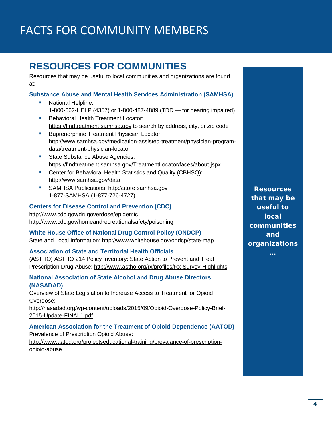# <span id="page-6-0"></span>**RESOURCES FOR COMMUNITIES**

Resources that may be useful to local communities and organizations are found at:

#### **Substance Abuse and Mental Health Services Administration (SAMHSA)**

- National Helpline: 1-800-662-HELP (4357) or 1-800-487-4889 (TDD — for hearing impaired)
- **Behavioral Health Treatment Locator:** [https://findtreatment.samhsa.gov](https://findtreatment.samhsa.gov/) to search by address, city, or zip code
- **Buprenorphine Treatment Physician Locator:** [http://www.samhsa.gov/medication-assisted-treatment/physician-program](http://www.samhsa.gov/medication-assisted-treatment/physician-program-data/treatment-physician-locator)[data/treatment-physician-locator](http://www.samhsa.gov/medication-assisted-treatment/physician-program-data/treatment-physician-locator)
- State Substance Abuse Agencies: <https://findtreatment.samhsa.gov/TreatmentLocator/faces/about.jspx>
- **Center for Behavioral Health Statistics and Quality (CBHSQ):** <http://www.samhsa.gov/data>
- SAMHSA Publications: http://store.samhsa.gov 1-877-SAMHSA (1-877-726-4727)

#### **Centers for Disease Control and Prevention (CDC)**

[http://www.cdc.gov/drugoverdose/epidemic](http://www.cdc.gov/drugoverdose/epidemic/) <http://www.cdc.gov/homeandrecreationalsafety/poisoning>

**White House Office of National Drug Control Policy (ONDCP)** State and Local Information:<http://www.whitehouse.gov/ondcp/state-map>

#### **Association of State and Territorial Health Officials**

(ASTHO) ASTHO 214 Policy Inventory: State Action to Prevent and Treat Prescription Drug Abuse: http://www.astho.org/rx/profiles/Rx-Survey-Highlights

#### **National Association of State Alcohol and Drug Abuse Directors (NASADAD)**

Overview of State Legislation to Increase Access to Treatment for Opioid Overdose:

[http://nasadad.org/wp-content/uploads/2015/09/Opioid-Overdose-Policy-Brief-](http://nasadad.org/wp-content/uploads/2015/09/Opioid-Overdose-Policy-Brief-2015-Update-FINAL1.pdf)[2015-Update-FINAL1.pdf](http://nasadad.org/wp-content/uploads/2015/09/Opioid-Overdose-Policy-Brief-2015-Update-FINAL1.pdf)

#### **American Association for the Treatment of Opioid Dependence (AATOD)**

Prevalence of Prescription Opioid Abuse: [http://www.aatod.org/projectseducational-training/prevalance-of-prescription](http://www.aatod.org/projectseducational-training/prevalance-of-prescription-opioid-abuse)[opioid-abuse](http://www.aatod.org/projectseducational-training/prevalance-of-prescription-opioid-abuse) 

*Resources that may be useful to local communities and organizations*

*…*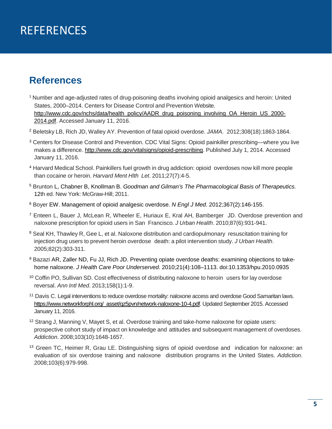# <span id="page-7-0"></span>REFERENCES

### **References**

- <sup>1</sup> Number and age-adjusted rates of drug-poisoning deaths involving opioid analgesics and heroin: United States, 2000–2014. Centers for Disease Control and Prevention Website. [http://www.cdc.gov/nchs/data/health\\_policy/AADR\\_drug\\_poisoning\\_involving\\_OA\\_Heroin\\_US\\_2000-](http://www.cdc.gov/nchs/data/health_policy/AADR_drug_poisoning_involving_OA_Heroin_US_2000-2014.pdf) [2014.pdf.](http://www.cdc.gov/nchs/data/health_policy/AADR_drug_poisoning_involving_OA_Heroin_US_2000-2014.pdf) Accessed January 11, 2016.
- <sup>2</sup> Beletsky LB, Rich JD, Walley AY. Prevention of fatal opioid overdose. *JAMA*. 2012;308(18):1863-1864.
- <sup>3</sup> Centers for Disease Control and Prevention. CDC Vital Signs: Opioid painkiller prescribing—where you live makes a difference. [http://www.cdc.gov/vitalsigns/opioid-prescribing.](http://www.cdc.gov/vitalsigns/opioid-prescribing) Published July 1, 2014. Accessed January 11, 2016.
- <sup>4</sup> Harvard Medical School. Painkillers fuel growth in drug addiction: opioid overdoses now kill more people than cocaine or heroin. *Harvard Ment Hlth Let*. 2011;27(7):4-5.
- <sup>5</sup> Brunton L, Chabner B, Knollman B. *Goodman and Gilman's The Pharmacological Basis of Therapeutics.* 12th ed. New York: McGraw-Hill; 2011.
- <sup>6</sup> Boyer EW. Management of opioid analgesic overdose. *N Engl J Med*. 2012;367(2):146-155.
- <sup>7</sup> Enteen L, Bauer J, McLean R, Wheeler E, Huriaux E, Kral AH, Bamberger JD. Overdose prevention and naloxone prescription for opioid users in San Francisco. *J Urban Health*. 2010;87(6):931-941.
- <sup>8</sup> Seal KH, Thawley R, Gee L, et al. Naloxone distribution and cardiopulmonary resuscitation training for injection drug users to prevent heroin overdose death: a pilot intervention study. *J Urban Health*. 2005;82(2):303-311.
- 9 Bazazi AR, Zaller ND, Fu JJ, Rich JD. Preventing opiate overdose deaths: examining objections to takehome naloxone. *J Health Care Poor Underserved.* 2010;21(4):108–1113. doi:10.1353/hpu.2010.0935
- <sup>10</sup> Coffin PO, Sullivan SD. Cost effectiveness of distributing naloxone to heroin users for lay overdose reversal. *Ann Intl Med*. 2013;158(1):1-9.
- <sup>11</sup> Davis C. Legal interventions to reduce overdose mortality: naloxone access and overdose Good Samaritan laws. [https://www.networkforphl.org/\\_asset/qz5pvn/network-naloxone-10-4.pdf.](https://www.networkforphl.org/_asset/qz5pvn/network-naloxone-10-4.pdf) Updated September 2015. Accessed January 11, 2016.
- <sup>12</sup> Strang J, Manning V, Mayet S, et al. Overdose training and take-home naloxone for opiate users: prospective cohort study of impact on knowledge and attitudes and subsequent management of overdoses. *Addiction*. 2008;103(10):1648-1657.
- 13 Green TC, Heimer R, Grau LE. Distinguishing signs of opioid overdose and indication for naloxone: an evaluation of six overdose training and naloxone distribution programs in the United States. *Addiction*. 2008;103(6):979-998.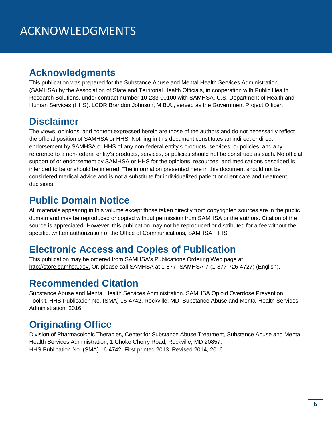### <span id="page-8-0"></span>**Acknowledgments**

This publication was prepared for the Substance Abuse and Mental Health Services Administration (SAMHSA) by the Association of State and Territorial Health Officials, in cooperation with Public Health Research Solutions, under contract number 10-233-00100 with SAMHSA, U.S. Department of Health and Human Services (HHS). LCDR Brandon Johnson, M.B.A., served as the Government Project Officer.

### **Disclaimer**

The views, opinions, and content expressed herein are those of the authors and do not necessarily reflect the official position of SAMHSA or HHS. Nothing in this document constitutes an indirect or direct endorsement by SAMHSA or HHS of any non-federal entity's products, services, or policies, and any reference to a non-federal entity's products, services, or policies should not be construed as such. No official support of or endorsement by SAMHSA or HHS for the opinions, resources, and medications described is intended to be or should be inferred. The information presented here in this document should not be considered medical advice and is not a substitute for individualized patient or client care and treatment decisions.

### **Public Domain Notice**

All materials appearing in this volume except those taken directly from copyrighted sources are in the public domain and may be reproduced or copied without permission from SAMHSA or the authors. Citation of the source is appreciated. However, this publication may not be reproduced or distributed for a fee without the specific, written authorization of the Office of Communications, SAMHSA, HHS.

### **Electronic Access and Copies of Publication**

This publication may be ordered from SAMHSA's Publications Ordering Web page at [http://store.samhsa.gov.](http://store.samhsa.gov/) Or, please call SAMHSA at 1-877- SAMHSA-7 (1-877-726-4727) (English).

### **Recommended Citation**

Substance Abuse and Mental Health Services Administration. SAMHSA Opioid Overdose Prevention Toolkit. HHS Publication No. (SMA) 16-4742. Rockville, MD: Substance Abuse and Mental Health Services Administration, 2016.

## **Originating Office**

Division of Pharmacologic Therapies, Center for Substance Abuse Treatment, Substance Abuse and Mental Health Services Administration, 1 Choke Cherry Road, Rockville, MD 20857. HHS Publication No. (SMA) 16-4742. First printed 2013. Revised 2014, 2016.